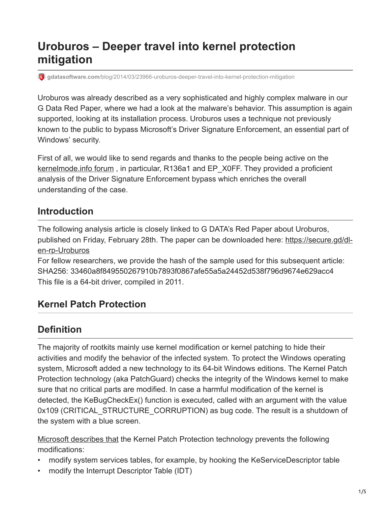# **Uroburos – Deeper travel into kernel protection mitigation**

**gdatasoftware.com**[/blog/2014/03/23966-uroburos-deeper-travel-into-kernel-protection-mitigation](https://www.gdatasoftware.com/blog/2014/03/23966-uroburos-deeper-travel-into-kernel-protection-mitigation)

Uroburos was already described as a very sophisticated and highly complex malware in our G Data Red Paper, where we had a look at the malware's behavior. This assumption is again supported, looking at its installation process. Uroburos uses a technique not previously known to the public to bypass Microsoft's Driver Signature Enforcement, an essential part of Windows' security.

First of all, we would like to send regards and thanks to the people being active on the [kernelmode.info forum](http://www.kernelmode.info/forum/viewtopic.php?f=16&t=3193) , in particular, R136a1 and EP\_X0FF. They provided a proficient analysis of the Driver Signature Enforcement bypass which enriches the overall understanding of the case.

#### **Introduction**

The following analysis article is closely linked to G DATA's Red Paper about Uroburos, [published on Friday, February 28th. The paper can be downloaded here: https://secure.gd/dl](https://secure.gd/dl-en-rp-Uroburos)en-rp-Uroburos

For fellow researchers, we provide the hash of the sample used for this subsequent article: SHA256: 33460a8f849550267910b7893f0867afe55a5a24452d538f796d9674e629acc4 This file is a 64-bit driver, compiled in 2011.

#### **Kernel Patch Protection**

#### **Definition**

The majority of rootkits mainly use kernel modification or kernel patching to hide their activities and modify the behavior of the infected system. To protect the Windows operating system, Microsoft added a new technology to its 64-bit Windows editions. The Kernel Patch Protection technology (aka PatchGuard) checks the integrity of the Windows kernel to make sure that no critical parts are modified. In case a harmful modification of the kernel is detected, the KeBugCheckEx() function is executed, called with an argument with the value 0x109 (CRITICAL STRUCTURE CORRUPTION) as bug code. The result is a shutdown of the system with a blue screen.

[Microsoft describes that](http://technet.microsoft.com/en-us/library/cc759759(v=ws.10).aspx) the Kernel Patch Protection technology prevents the following modifications:

- modify system services tables, for example, by hooking the KeServiceDescriptor table
- modify the Interrupt Descriptor Table (IDT)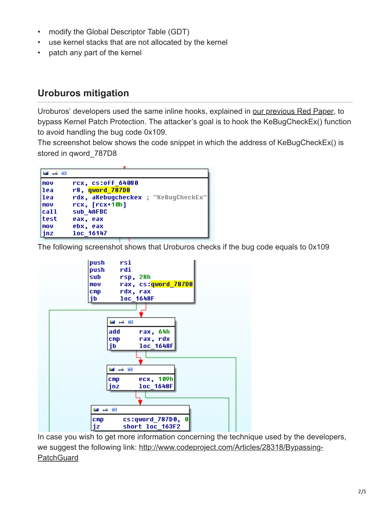- modify the Global Descriptor Table (GDT)
- use kernel stacks that are not allocated by the kernel
- patch any part of the kernel

#### **Uroburos mitigation**

Uroburos' developers used the same inline hooks, explained in [our previous Red Paper,](https://secure.gd/dl-en-rp-Uroburos) to bypass Kernel Patch Protection. The attacker's goal is to hook the KeBugCheckEx() function to avoid handling the bug code 0x109.

The screenshot below shows the code snippet in which the address of KeBugCheckEx() is stored in qword\_787D8

| تحدا كمراهنا |                                                       |  |
|--------------|-------------------------------------------------------|--|
| MOV<br> 1ea  | rcx, cs:off 64080<br>r8, qword 787D8                  |  |
| 1ea<br>  MOV | rdx, akebugcheckex ; "KeBugCheckEx"<br>rcx, [rcx+10h] |  |
| call         | sub 4AFBC                                             |  |
| test         | eax, eax                                              |  |
| MOV          | ebx, eax                                              |  |
| inz          | loc 16147                                             |  |

The following screenshot shows that Uroburos checks if the bug code equals to 0x109



In case you wish to get more information concerning the technique used by the developers, [we suggest the following link: http://www.codeproject.com/Articles/28318/Bypassing-](http://www.codeproject.com/Articles/28318/Bypassing-PatchGuard)**PatchGuard**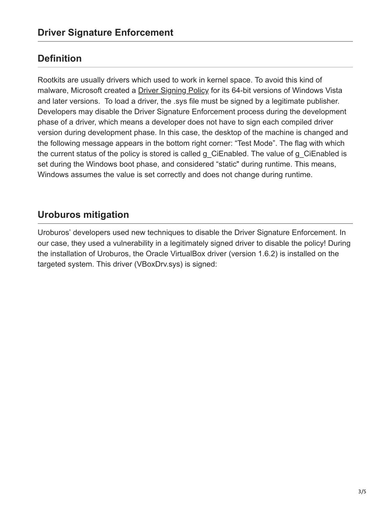### **Definition**

Rootkits are usually drivers which used to work in kernel space. To avoid this kind of malware, Microsoft created a *[Driver Signing Policy](http://msdn.microsoft.com/en-us/library/windows/hardware/ff548231(v=vs.85).aspx)* for its 64-bit versions of Windows Vista and later versions. To load a driver, the .sys file must be signed by a legitimate publisher. Developers may disable the Driver Signature Enforcement process during the development phase of a driver, which means a developer does not have to sign each compiled driver version during development phase. In this case, the desktop of the machine is changed and the following message appears in the bottom right corner: "Test Mode". The flag with which the current status of the policy is stored is called g\_CiEnabled. The value of g\_CiEnabled is set during the Windows boot phase, and considered "static" during runtime. This means, Windows assumes the value is set correctly and does not change during runtime.

## **Uroburos mitigation**

Uroburos' developers used new techniques to disable the Driver Signature Enforcement. In our case, they used a vulnerability in a legitimately signed driver to disable the policy! During the installation of Uroburos, the Oracle VirtualBox driver (version 1.6.2) is installed on the targeted system. This driver (VBoxDrv.sys) is signed: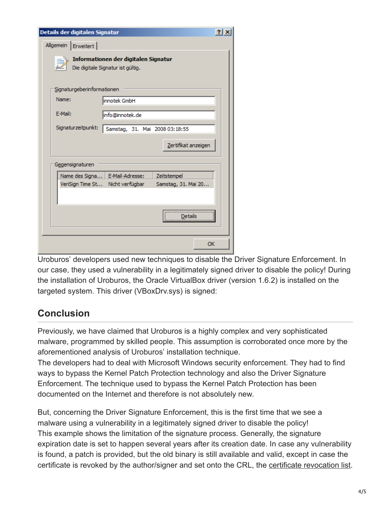| Details der digitalen Signatur                                            |    |  |  |
|---------------------------------------------------------------------------|----|--|--|
| Allgemein   Erweitert                                                     |    |  |  |
|                                                                           |    |  |  |
| Informationen der digitalen Signatur<br>Die digitale Signatur ist gültig. |    |  |  |
|                                                                           |    |  |  |
| Signaturgeberinformationen                                                |    |  |  |
| Name:                                                                     |    |  |  |
| innotek GmbH                                                              |    |  |  |
| E-Mail:<br>info@innotek.de                                                |    |  |  |
| Signaturzeitpunkt:<br>Samstag, 31. Mai 2008 03:18:55                      |    |  |  |
|                                                                           |    |  |  |
| Zertifikat anzeigen                                                       |    |  |  |
|                                                                           |    |  |  |
| Gegensignaturen                                                           |    |  |  |
| E-Mail-Adresse:<br>Name des Signa<br>Zeitstempel                          |    |  |  |
| VeriSign Time St<br>Nicht verfügbar<br>Samstag, 31. Mai 20                |    |  |  |
|                                                                           |    |  |  |
|                                                                           |    |  |  |
| Details                                                                   |    |  |  |
|                                                                           |    |  |  |
|                                                                           | OK |  |  |
|                                                                           |    |  |  |

Uroburos' developers used new techniques to disable the Driver Signature Enforcement. In our case, they used a vulnerability in a legitimately signed driver to disable the policy! During the installation of Uroburos, the Oracle VirtualBox driver (version 1.6.2) is installed on the targeted system. This driver (VBoxDrv.sys) is signed:

## **Conclusion**

Previously, we have claimed that Uroburos is a highly complex and very sophisticated malware, programmed by skilled people. This assumption is corroborated once more by the aforementioned analysis of Uroburos' installation technique.

The developers had to deal with Microsoft Windows security enforcement. They had to find ways to bypass the Kernel Patch Protection technology and also the Driver Signature Enforcement. The technique used to bypass the Kernel Patch Protection has been documented on the Internet and therefore is not absolutely new.

But, concerning the Driver Signature Enforcement, this is the first time that we see a malware using a vulnerability in a legitimately signed driver to disable the policy! This example shows the limitation of the signature process. Generally, the signature expiration date is set to happen several years after its creation date. In case any vulnerability is found, a patch is provided, but the old binary is still available and valid, except in case the certificate is revoked by the author/signer and set onto the CRL, the [certificate revocation list](http://support.microsoft.com/kb/289749/en).